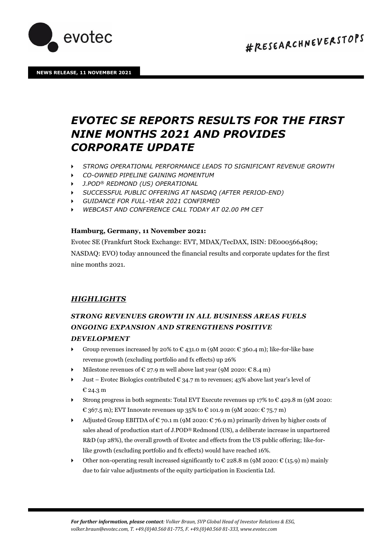

# *EVOTEC SE REPORTS RESULTS FOR THE FIRST NINE MONTHS 2021 AND PROVIDES CORPORATE UPDATE*

- *STRONG OPERATIONAL PERFORMANCE LEADS TO SIGNIFICANT REVENUE GROWTH*
- *CO-OWNED PIPELINE GAINING MOMENTUM*
- *J.POD® REDMOND (US) OPERATIONAL*
- *SUCCESSFUL PUBLIC OFFERING AT NASDAQ (AFTER PERIOD-END)*
- *GUIDANCE FOR FULL-YEAR 2021 CONFIRMED*
- *WEBCAST AND CONFERENCE CALL TODAY AT 02.00 PM CET*

### **Hamburg, Germany, 11 November 2021:**

Evotec SE (Frankfurt Stock Exchange: EVT, MDAX/TecDAX, ISIN: DE0005664809; NASDAQ: EVO) today announced the financial results and corporate updates for the first nine months 2021.

## *HIGHLIGHTS*

## *STRONG REVENUES GROWTH IN ALL BUSINESS AREAS FUELS ONGOING EXPANSION AND STRENGTHENS POSITIVE DEVELOPMENT*

- Group revenues increased by 20% to  $\epsilon$  431.0 m (9M 2020:  $\epsilon$  360.4 m); like-for-like base revenue growth (excluding portfolio and fx effects) up 26%
- Milestone revenues of  $\epsilon$  27.9 m well above last year (9M 2020:  $\epsilon$  8.4 m)
- $\blacktriangleright$  Just Evotec Biologics contributed  $\epsilon$  34.7 m to revenues; 43% above last year's level of € 24.3 m
- Strong progress in both segments: Total EVT Execute revenues up  $17\%$  to  $\epsilon$  429.8 m (9M 2020: € 367.5 m); EVT Innovate revenues up 35% to € 101.9 m (9M 2020: € 75.7 m)
- Adjusted Group EBITDA of  $\epsilon$  70.1 m (9M 2020:  $\epsilon$  76.9 m) primarily driven by higher costs of sales ahead of production start of J.POD® Redmond (US), a deliberate increase in unpartnered R&D (up 28%), the overall growth of Evotec and effects from the US public offering; like-forlike growth (excluding portfolio and fx effects) would have reached 16%.
- $\triangleright$  Other non-operating result increased significantly to € 228.8 m (9M 2020: € (15.9) m) mainly due to fair value adjustments of the equity participation in Exscientia Ltd.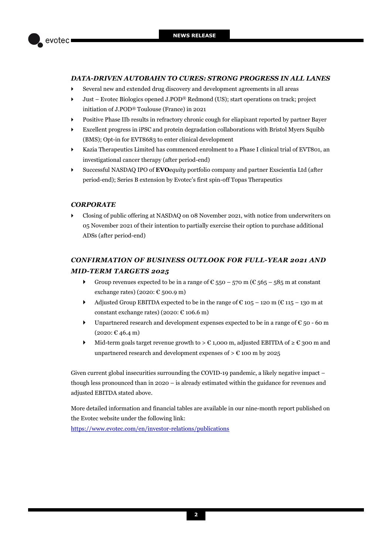

## *DATA-DRIVEN AUTOBAHN TO CURES: STRONG PROGRESS IN ALL LANES*

- Several new and extended drug discovery and development agreements in all areas
- Just Evotec Biologics opened J.POD® Redmond (US); start operations on track; project initiation of J.POD® Toulouse (France) in 2021
- Positive Phase IIb results in refractory chronic cough for eliapixant reported by partner Bayer
- Excellent progress in iPSC and protein degradation collaborations with Bristol Myers Squibb (BMS); Opt-in for EVT8683 to enter clinical development
- Kazia Therapeutics Limited has commenced enrolment to a Phase I clinical trial of EVT801, an investigational cancer therapy (after period-end)
- Successful NASDAQ IPO of **EVO***equity* portfolio company and partner Exscientia Ltd (after period-end); Series B extension by Evotec's first spin-off Topas Therapeutics

### *CORPORATE*

 Closing of public offering at NASDAQ on 08 November 2021, with notice from underwriters on 05 November 2021 of their intention to partially exercise their option to purchase additional ADSs (after period-end)

## *CONFIRMATION OF BUSINESS OUTLOOK FOR FULL-YEAR 2021 AND MID-TERM TARGETS 2025*

- Group revenues expected to be in a range of  $\epsilon$  550 570 m ( $\epsilon$  565 585 m at constant exchange rates) (2020:  $\epsilon$  500.9 m)
- Adjusted Group EBITDA expected to be in the range of  $\epsilon$  105 120 m ( $\epsilon$  115 130 m at constant exchange rates) (2020:  $\text{\textsterling}$  106.6 m)
- ▶ Unpartnered research and development expenses expected to be in a range of  $€$  50 60 m  $(2020: \mathbb{C} 46.4 \,\mathrm{m})$
- Mid-term goals target revenue growth to  $> \epsilon$  1,000 m, adjusted EBITDA of  $\geq \epsilon$  300 m and unpartnered research and development expenses of  $> \mathcal{E}$  100 m by 2025

Given current global insecurities surrounding the COVID-19 pandemic, a likely negative impact – though less pronounced than in 2020 – is already estimated within the guidance for revenues and adjusted EBITDA stated above.

More detailed information and financial tables are available in our nine-month report published on the Evotec website under the following link: <https://www.evotec.com/en/investor-relations/publications>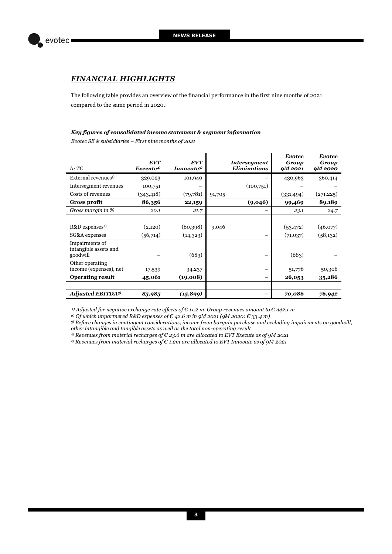

## *FINANCIAL HIGHLIGHTS*

The following table provides an overview of the financial performance in the first nine months of 2021 compared to the same period in 2020.

#### *Key figures of consolidated income statement & segment information*

*Evotec SE & subsidiaries – First nine months of 2021* 

| In T $\epsilon$                                     | <b>EVT</b><br>Execute <sup>4</sup> ) | <b>EVT</b><br>Innovate <sup>5)</sup> |        | <b>Intersegment</b><br><b>Eliminations</b> | <b>Evotec</b><br>Group<br><b>9M2021</b> | <b>Evotec</b><br>Group<br><b>9M2020</b> |
|-----------------------------------------------------|--------------------------------------|--------------------------------------|--------|--------------------------------------------|-----------------------------------------|-----------------------------------------|
| External revenues <sup>1)</sup>                     | 329,023                              | 101,940                              |        |                                            | 430,963                                 | 360,414                                 |
| Intersegment revenues                               | 100,751                              |                                      |        | (100,751)                                  |                                         |                                         |
| Costs of revenues                                   | (343, 418)                           | (79, 781)                            | 91,705 |                                            | (331, 494)                              | (271.225)                               |
| <b>Gross profit</b>                                 | 86,356                               | 22,159                               |        | (9,046)                                    | 99,469                                  | 89,189                                  |
| Gross margin in %                                   | 20.1                                 | 21.7                                 |        |                                            | 23.1                                    | 24.7                                    |
|                                                     |                                      |                                      |        |                                            |                                         |                                         |
| R&D expenses <sup>2)</sup>                          | (2,120)                              | (60, 398)                            | 9,046  |                                            | (53, 472)                               | (46,077)                                |
| SG&A expenses                                       | (56,714)                             | (14, 323)                            |        |                                            | (71,037)                                | (58, 132)                               |
| Impairments of<br>intangible assets and<br>goodwill |                                      | (683)                                |        |                                            | (683)                                   |                                         |
| Other operating<br>income (expenses), net           | 17,539                               | 34,237                               |        |                                            | 51,776                                  | 50,306                                  |
| <b>Operating result</b>                             | 45,061                               | (19,008)                             |        |                                            | 26,053                                  | 35,286                                  |
|                                                     |                                      |                                      |        |                                            |                                         |                                         |
| <b>Adjusted EBITDA3)</b>                            | 85,985                               | (15, 899)                            |        |                                            | 70,086                                  | 76,942                                  |

 *1) Adjusted for negative exchange rate effects of € 11.2 m, Group revenues amount to € 442.1 m* 

*2) Of which unpartnered R&D expenses of € 42.6 m in 9M 2021 (9M 2020: € 33.4 m)*

*3) Before changes in contingent considerations, income from bargain purchase and excluding impairments on goodwill, other intangible and tangible assets as well as the total non-operating result* 

*4) Revenues from material recharges of € 23.6 m are allocated to EVT Execute as of 9M 2021* 

*5) Revenues from material recharges of € 1.2m are allocated to EVT Innovate as of 9M 2021*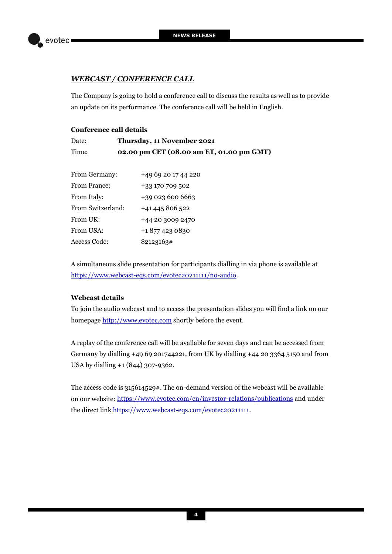

## *WEBCAST / CONFERENCE CALL*

The Company is going to hold a conference call to discuss the results as well as to provide an update on its performance. The conference call will be held in English.

## **Conference call details**

| Date: | Thursday, 11 November 2021               |
|-------|------------------------------------------|
| Time: | 02.00 pm CET (08.00 am ET, 01.00 pm GMT) |

| From Germany:     | +49 69 20 17 44 220 |  |  |  |
|-------------------|---------------------|--|--|--|
| From France:      | +33 170 709 502     |  |  |  |
| From Italy:       | +39 023 600 6663    |  |  |  |
| From Switzerland: | +41 445 806 522     |  |  |  |
| From UK:          | +44 20 3009 2470    |  |  |  |
| From USA:         | +18774230830        |  |  |  |
| Access Code:      | 82123163#           |  |  |  |

A simultaneous slide presentation for participants dialling in via phone is available at [https://www.webcast-eqs.com/evotec20211111/no-audio.](https://www.webcast-eqs.com/evotec20211111/no-audio)

## **Webcast details**

To join the audio webcast and to access the presentation slides you will find a link on our homepag[e http://www.evotec.com](http://www.evotec.com/) shortly before the event.

A replay of the conference call will be available for seven days and can be accessed from Germany by dialling +49 69 201744221, from UK by dialling +44 20 3364 5150 and from USA by dialling +1 (844) 307-9362.

The access code is 315614529#. The on-demand version of the webcast will be available on our website:<https://www.evotec.com/en/investor-relations/publications>and under the direct lin[k https://www.webcast-eqs.com/evotec20211111.](https://www.webcast-eqs.com/evotec20211111)